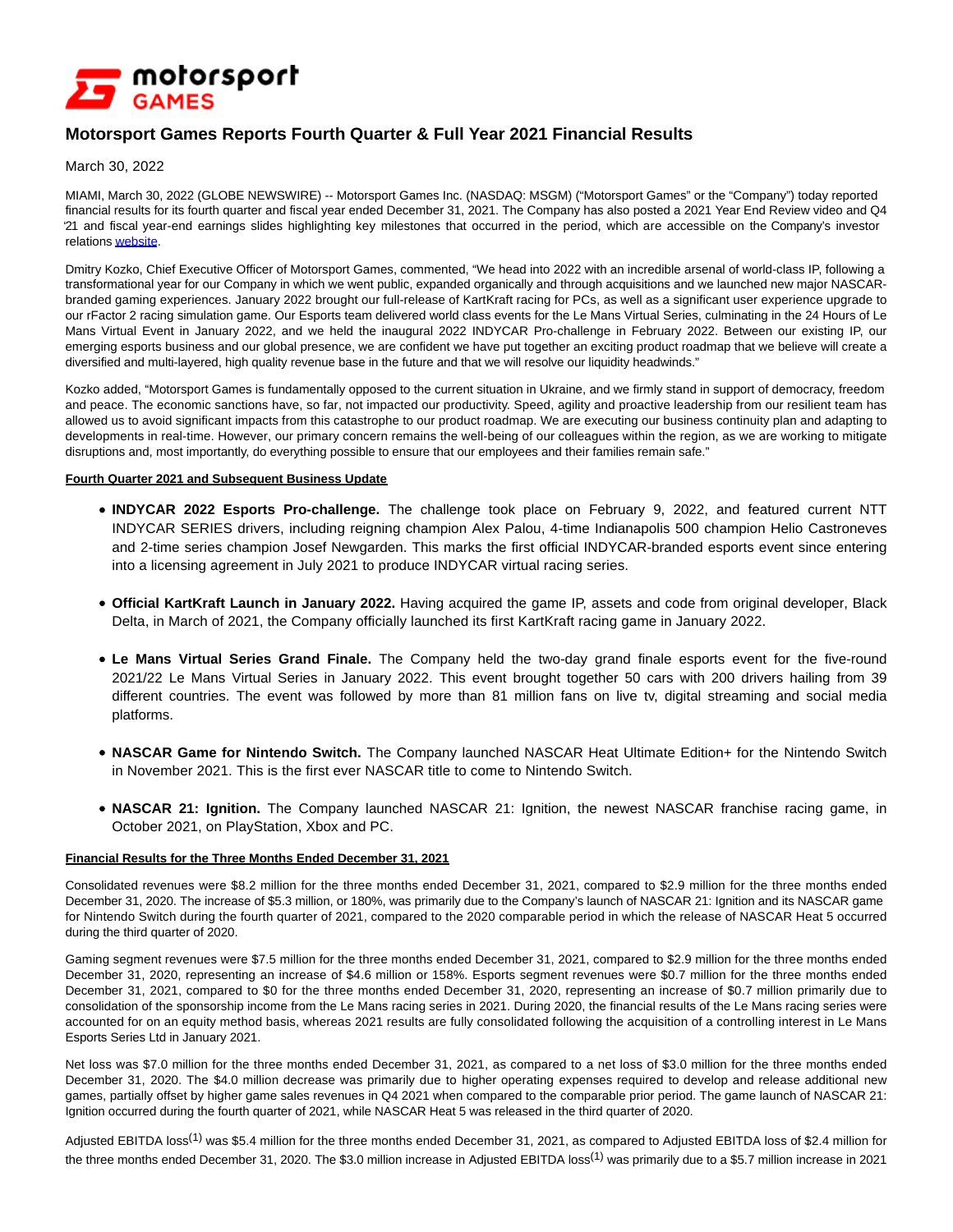

# **Motorsport Games Reports Fourth Quarter & Full Year 2021 Financial Results**

March 30, 2022

MIAMI, March 30, 2022 (GLOBE NEWSWIRE) -- Motorsport Games Inc. (NASDAQ: MSGM) ("Motorsport Games" or the "Company") today reported financial results for its fourth quarter and fiscal year ended December 31, 2021. The Company has also posted a 2021 Year End Review video and Q4 '21 and fiscal year-end earnings slides highlighting key milestones that occurred in the period, which are accessible on the Company's investor relation[s website.](https://www.globenewswire.com/Tracker?data=4-ObaVo7hrIT10SwqFIA4n3rrSHi-5Wc0Do3zN66b840sXuKDWsIFE44VdehzdN0LmU4fC6fBe9iybv6RS7Kng==)

Dmitry Kozko, Chief Executive Officer of Motorsport Games, commented, "We head into 2022 with an incredible arsenal of world-class IP, following a transformational year for our Company in which we went public, expanded organically and through acquisitions and we launched new major NASCARbranded gaming experiences. January 2022 brought our full-release of KartKraft racing for PCs, as well as a significant user experience upgrade to our rFactor 2 racing simulation game. Our Esports team delivered world class events for the Le Mans Virtual Series, culminating in the 24 Hours of Le Mans Virtual Event in January 2022, and we held the inaugural 2022 INDYCAR Pro-challenge in February 2022. Between our existing IP, our emerging esports business and our global presence, we are confident we have put together an exciting product roadmap that we believe will create a diversified and multi-layered, high quality revenue base in the future and that we will resolve our liquidity headwinds."

Kozko added, "Motorsport Games is fundamentally opposed to the current situation in Ukraine, and we firmly stand in support of democracy, freedom and peace. The economic sanctions have, so far, not impacted our productivity. Speed, agility and proactive leadership from our resilient team has allowed us to avoid significant impacts from this catastrophe to our product roadmap. We are executing our business continuity plan and adapting to developments in real-time. However, our primary concern remains the well-being of our colleagues within the region, as we are working to mitigate disruptions and, most importantly, do everything possible to ensure that our employees and their families remain safe."

## **Fourth Quarter 2021 and Subsequent Business Update**

- **INDYCAR 2022 Esports Pro-challenge.** The challenge took place on February 9, 2022, and featured current NTT INDYCAR SERIES drivers, including reigning champion Alex Palou, 4-time Indianapolis 500 champion Helio Castroneves and 2-time series champion Josef Newgarden. This marks the first official INDYCAR-branded esports event since entering into a licensing agreement in July 2021 to produce INDYCAR virtual racing series.
- **Official KartKraft Launch in January 2022.** Having acquired the game IP, assets and code from original developer, Black Delta, in March of 2021, the Company officially launched its first KartKraft racing game in January 2022.
- **Le Mans Virtual Series Grand Finale.** The Company held the two-day grand finale esports event for the five-round 2021/22 Le Mans Virtual Series in January 2022. This event brought together 50 cars with 200 drivers hailing from 39 different countries. The event was followed by more than 81 million fans on live tv, digital streaming and social media platforms.
- **NASCAR Game for Nintendo Switch.** The Company launched NASCAR Heat Ultimate Edition+ for the Nintendo Switch in November 2021. This is the first ever NASCAR title to come to Nintendo Switch.
- **NASCAR 21: Ignition.** The Company launched NASCAR 21: Ignition, the newest NASCAR franchise racing game, in October 2021, on PlayStation, Xbox and PC.

## **Financial Results for the Three Months Ended December 31, 2021**

Consolidated revenues were \$8.2 million for the three months ended December 31, 2021, compared to \$2.9 million for the three months ended December 31, 2020. The increase of \$5.3 million, or 180%, was primarily due to the Company's launch of NASCAR 21: Ignition and its NASCAR game for Nintendo Switch during the fourth quarter of 2021, compared to the 2020 comparable period in which the release of NASCAR Heat 5 occurred during the third quarter of 2020.

Gaming segment revenues were \$7.5 million for the three months ended December 31, 2021, compared to \$2.9 million for the three months ended December 31, 2020, representing an increase of \$4.6 million or 158%. Esports segment revenues were \$0.7 million for the three months ended December 31, 2021, compared to \$0 for the three months ended December 31, 2020, representing an increase of \$0.7 million primarily due to consolidation of the sponsorship income from the Le Mans racing series in 2021. During 2020, the financial results of the Le Mans racing series were accounted for on an equity method basis, whereas 2021 results are fully consolidated following the acquisition of a controlling interest in Le Mans Esports Series Ltd in January 2021.

Net loss was \$7.0 million for the three months ended December 31, 2021, as compared to a net loss of \$3.0 million for the three months ended December 31, 2020. The \$4.0 million decrease was primarily due to higher operating expenses required to develop and release additional new games, partially offset by higher game sales revenues in Q4 2021 when compared to the comparable prior period. The game launch of NASCAR 21: Ignition occurred during the fourth quarter of 2021, while NASCAR Heat 5 was released in the third quarter of 2020.

Adjusted EBITDA loss<sup>(1)</sup> was \$5.4 million for the three months ended December 31, 2021, as compared to Adjusted EBITDA loss of \$2.4 million for the three months ended December 31, 2020. The \$3.0 million increase in Adjusted EBITDA loss<sup>(1)</sup> was primarily due to a \$5.7 million increase in 2021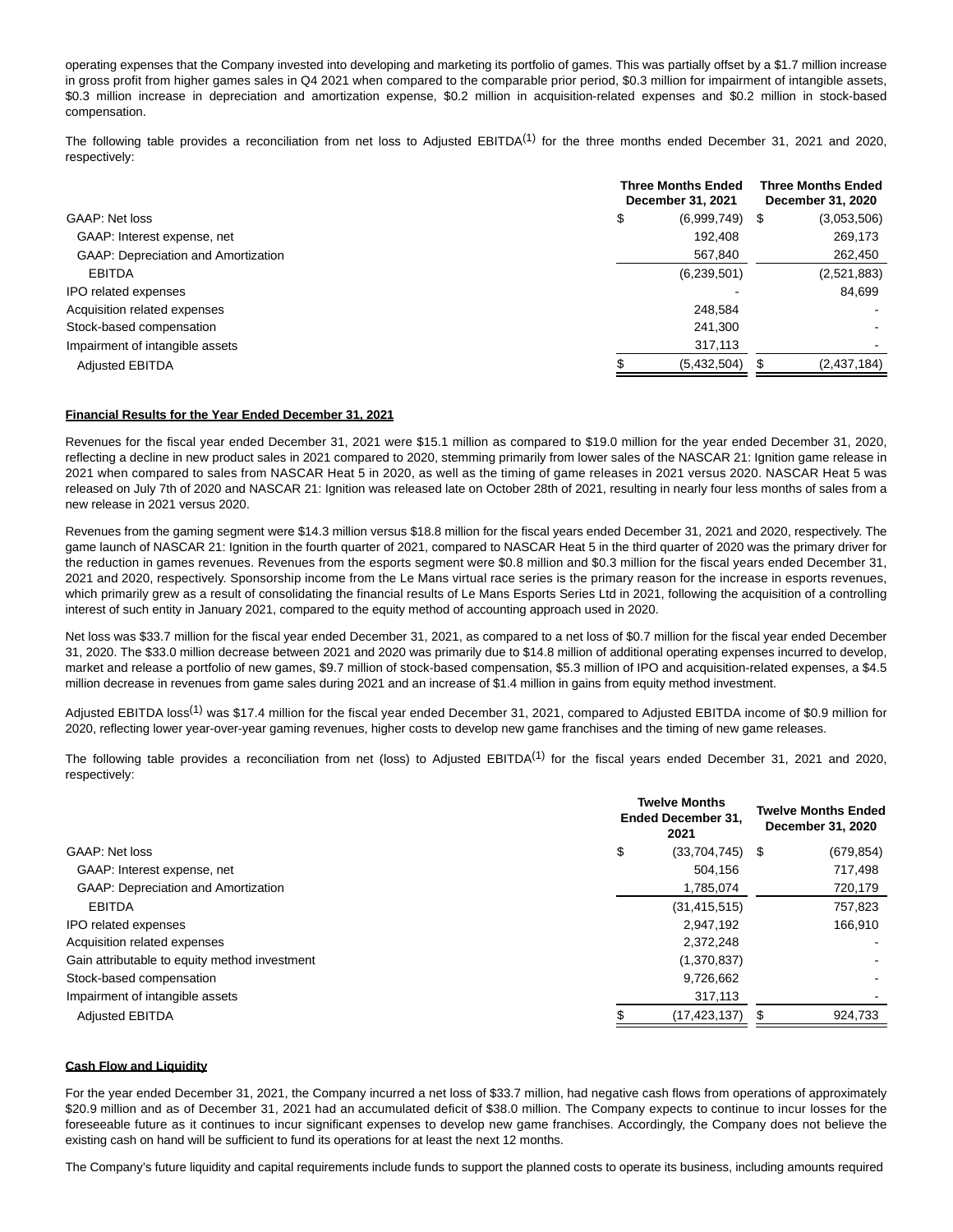operating expenses that the Company invested into developing and marketing its portfolio of games. This was partially offset by a \$1.7 million increase in gross profit from higher games sales in Q4 2021 when compared to the comparable prior period, \$0.3 million for impairment of intangible assets, \$0.3 million increase in depreciation and amortization expense, \$0.2 million in acquisition-related expenses and \$0.2 million in stock-based compensation.

The following table provides a reconciliation from net loss to Adjusted EBITDA<sup>(1)</sup> for the three months ended December 31, 2021 and 2020, respectively:

|                                            | <b>Three Months Ended</b><br>December 31, 2021 |             |   | <b>Three Months Ended</b><br>December 31, 2020 |  |
|--------------------------------------------|------------------------------------------------|-------------|---|------------------------------------------------|--|
| <b>GAAP: Net loss</b>                      | \$                                             | (6,999,749) | S | (3,053,506)                                    |  |
| GAAP: Interest expense, net                |                                                | 192.408     |   | 269,173                                        |  |
| <b>GAAP: Depreciation and Amortization</b> |                                                | 567,840     |   | 262,450                                        |  |
| <b>EBITDA</b>                              |                                                | (6,239,501) |   | (2,521,883)                                    |  |
| IPO related expenses                       |                                                |             |   | 84,699                                         |  |
| Acquisition related expenses               |                                                | 248,584     |   |                                                |  |
| Stock-based compensation                   |                                                | 241.300     |   |                                                |  |
| Impairment of intangible assets            |                                                | 317,113     |   |                                                |  |
| <b>Adjusted EBITDA</b>                     |                                                | (5,432,504) |   | (2,437,184)                                    |  |

## **Financial Results for the Year Ended December 31, 2021**

Revenues for the fiscal year ended December 31, 2021 were \$15.1 million as compared to \$19.0 million for the year ended December 31, 2020, reflecting a decline in new product sales in 2021 compared to 2020, stemming primarily from lower sales of the NASCAR 21: Ignition game release in 2021 when compared to sales from NASCAR Heat 5 in 2020, as well as the timing of game releases in 2021 versus 2020. NASCAR Heat 5 was released on July 7th of 2020 and NASCAR 21: Ignition was released late on October 28th of 2021, resulting in nearly four less months of sales from a new release in 2021 versus 2020.

Revenues from the gaming segment were \$14.3 million versus \$18.8 million for the fiscal years ended December 31, 2021 and 2020, respectively. The game launch of NASCAR 21: Ignition in the fourth quarter of 2021, compared to NASCAR Heat 5 in the third quarter of 2020 was the primary driver for the reduction in games revenues. Revenues from the esports segment were \$0.8 million and \$0.3 million for the fiscal years ended December 31, 2021 and 2020, respectively. Sponsorship income from the Le Mans virtual race series is the primary reason for the increase in esports revenues, which primarily grew as a result of consolidating the financial results of Le Mans Esports Series Ltd in 2021, following the acquisition of a controlling interest of such entity in January 2021, compared to the equity method of accounting approach used in 2020.

Net loss was \$33.7 million for the fiscal year ended December 31, 2021, as compared to a net loss of \$0.7 million for the fiscal year ended December 31, 2020. The \$33.0 million decrease between 2021 and 2020 was primarily due to \$14.8 million of additional operating expenses incurred to develop, market and release a portfolio of new games, \$9.7 million of stock-based compensation, \$5.3 million of IPO and acquisition-related expenses, a \$4.5 million decrease in revenues from game sales during 2021 and an increase of \$1.4 million in gains from equity method investment.

Adjusted EBITDA loss<sup>(1)</sup> was \$17.4 million for the fiscal year ended December 31, 2021, compared to Adjusted EBITDA income of \$0.9 million for 2020, reflecting lower year-over-year gaming revenues, higher costs to develop new game franchises and the timing of new game releases.

The following table provides a reconciliation from net (loss) to Adjusted EBITDA<sup>(1)</sup> for the fiscal years ended December 31, 2021 and 2020, respectively:

|                                               | <b>Twelve Months</b><br><b>Ended December 31.</b><br>2021 |                |    |            |
|-----------------------------------------------|-----------------------------------------------------------|----------------|----|------------|
| GAAP: Net loss                                | \$                                                        | (33,704,745)   | \$ | (679, 854) |
| GAAP: Interest expense, net                   |                                                           | 504,156        |    | 717,498    |
| <b>GAAP: Depreciation and Amortization</b>    |                                                           | 1,785,074      |    | 720,179    |
| <b>EBITDA</b>                                 |                                                           | (31, 415, 515) |    | 757,823    |
| <b>IPO related expenses</b>                   |                                                           | 2,947,192      |    | 166,910    |
| Acquisition related expenses                  |                                                           | 2.372.248      |    |            |
| Gain attributable to equity method investment |                                                           | (1,370,837)    |    |            |
| Stock-based compensation                      |                                                           | 9,726,662      |    |            |
| Impairment of intangible assets               |                                                           | 317,113        |    |            |
| <b>Adjusted EBITDA</b>                        |                                                           | (17, 423, 137) |    | 924,733    |

## **Cash Flow and Liquidity**

For the year ended December 31, 2021, the Company incurred a net loss of \$33.7 million, had negative cash flows from operations of approximately \$20.9 million and as of December 31, 2021 had an accumulated deficit of \$38.0 million. The Company expects to continue to incur losses for the foreseeable future as it continues to incur significant expenses to develop new game franchises. Accordingly, the Company does not believe the existing cash on hand will be sufficient to fund its operations for at least the next 12 months.

The Company's future liquidity and capital requirements include funds to support the planned costs to operate its business, including amounts required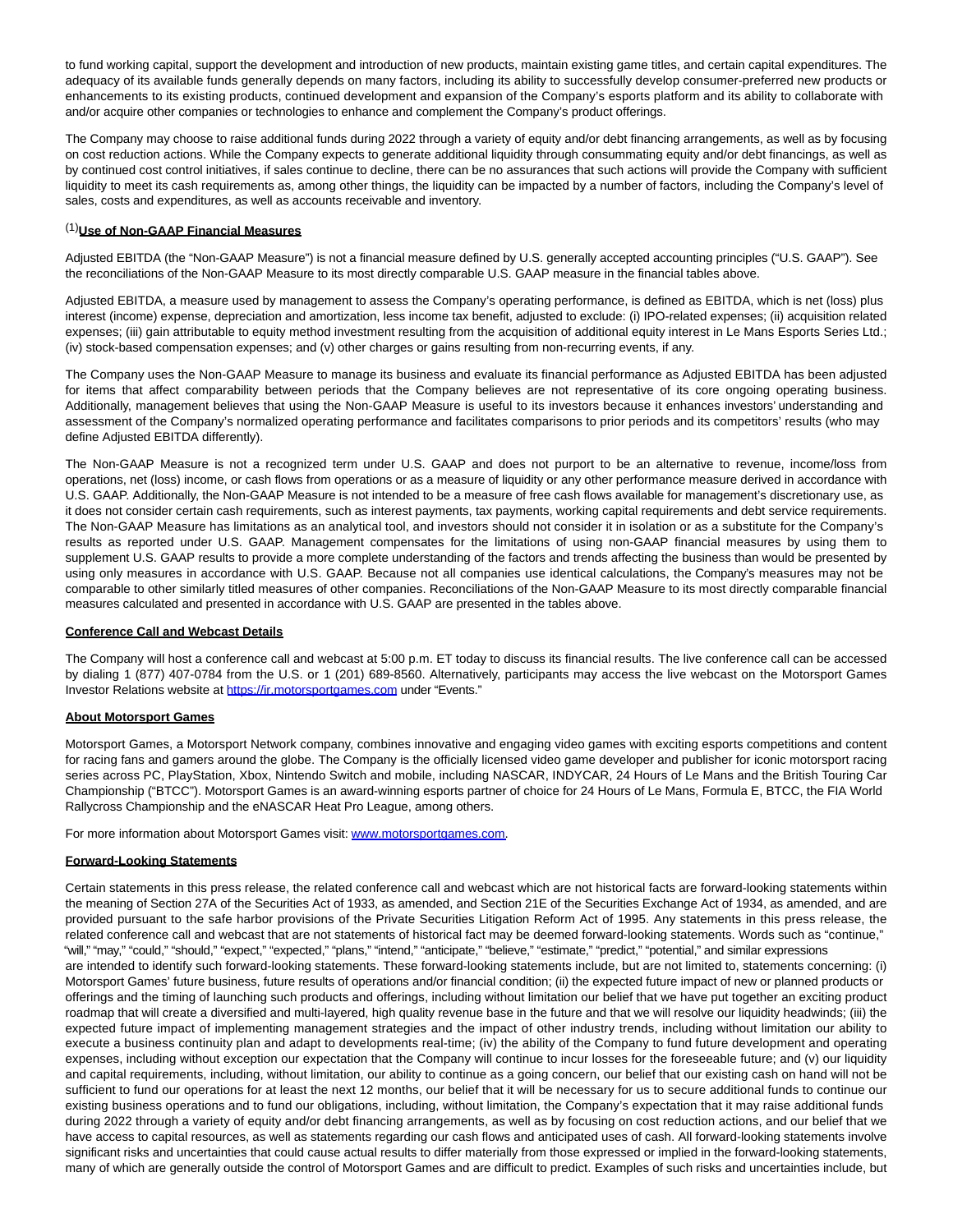to fund working capital, support the development and introduction of new products, maintain existing game titles, and certain capital expenditures. The adequacy of its available funds generally depends on many factors, including its ability to successfully develop consumer-preferred new products or enhancements to its existing products, continued development and expansion of the Company's esports platform and its ability to collaborate with and/or acquire other companies or technologies to enhance and complement the Company's product offerings.

The Company may choose to raise additional funds during 2022 through a variety of equity and/or debt financing arrangements, as well as by focusing on cost reduction actions. While the Company expects to generate additional liquidity through consummating equity and/or debt financings, as well as by continued cost control initiatives, if sales continue to decline, there can be no assurances that such actions will provide the Company with sufficient liquidity to meet its cash requirements as, among other things, the liquidity can be impacted by a number of factors, including the Company's level of sales, costs and expenditures, as well as accounts receivable and inventory.

## (1)**Use of Non-GAAP Financial Measures**

Adjusted EBITDA (the "Non-GAAP Measure") is not a financial measure defined by U.S. generally accepted accounting principles ("U.S. GAAP"). See the reconciliations of the Non-GAAP Measure to its most directly comparable U.S. GAAP measure in the financial tables above.

Adjusted EBITDA, a measure used by management to assess the Company's operating performance, is defined as EBITDA, which is net (loss) plus interest (income) expense, depreciation and amortization, less income tax benefit, adjusted to exclude: (i) IPO-related expenses; (ii) acquisition related expenses; (iii) gain attributable to equity method investment resulting from the acquisition of additional equity interest in Le Mans Esports Series Ltd.; (iv) stock-based compensation expenses; and (v) other charges or gains resulting from non-recurring events, if any.

The Company uses the Non-GAAP Measure to manage its business and evaluate its financial performance as Adjusted EBITDA has been adjusted for items that affect comparability between periods that the Company believes are not representative of its core ongoing operating business. Additionally, management believes that using the Non-GAAP Measure is useful to its investors because it enhances investors' understanding and assessment of the Company's normalized operating performance and facilitates comparisons to prior periods and its competitors' results (who may define Adjusted EBITDA differently).

The Non-GAAP Measure is not a recognized term under U.S. GAAP and does not purport to be an alternative to revenue, income/loss from operations, net (loss) income, or cash flows from operations or as a measure of liquidity or any other performance measure derived in accordance with U.S. GAAP. Additionally, the Non-GAAP Measure is not intended to be a measure of free cash flows available for management's discretionary use, as it does not consider certain cash requirements, such as interest payments, tax payments, working capital requirements and debt service requirements. The Non-GAAP Measure has limitations as an analytical tool, and investors should not consider it in isolation or as a substitute for the Company's results as reported under U.S. GAAP. Management compensates for the limitations of using non-GAAP financial measures by using them to supplement U.S. GAAP results to provide a more complete understanding of the factors and trends affecting the business than would be presented by using only measures in accordance with U.S. GAAP. Because not all companies use identical calculations, the Company's measures may not be comparable to other similarly titled measures of other companies. Reconciliations of the Non-GAAP Measure to its most directly comparable financial measures calculated and presented in accordance with U.S. GAAP are presented in the tables above.

## **Conference Call and Webcast Details**

The Company will host a conference call and webcast at 5:00 p.m. ET today to discuss its financial results. The live conference call can be accessed by dialing 1 (877) 407-0784 from the U.S. or 1 (201) 689-8560. Alternatively, participants may access the live webcast on the Motorsport Games Investor Relations website at [https://ir.motorsportgames.com u](https://www.globenewswire.com/Tracker?data=o2mY9mhX-cxcHbMk5Cwg-2hnFcomjKib6hWfZg3ZogBA4OnOti2Pzu9W9byee4hq7-yx301Pb2216rDfc8ojg1_gKhWgpPMFUsNjHwUM_huoCPhij7FDchBMyU0xC_0W)nder "Events."

## **About Motorsport Games**

Motorsport Games, a Motorsport Network company, combines innovative and engaging video games with exciting esports competitions and content for racing fans and gamers around the globe. The Company is the officially licensed video game developer and publisher for iconic motorsport racing series across PC, PlayStation, Xbox, Nintendo Switch and mobile, including NASCAR, INDYCAR, 24 Hours of Le Mans and the British Touring Car Championship ("BTCC"). Motorsport Games is an award-winning esports partner of choice for 24 Hours of Le Mans, Formula E, BTCC, the FIA World Rallycross Championship and the eNASCAR Heat Pro League, among others.

For more information about Motorsport Games visit: [www.motorsportgames.com.](https://www.globenewswire.com/Tracker?data=RLK9VyGxSjV9sXyuVN-m8p29r0DH5DL-FrIKfvzJ_O4h3x1olAne59ZjNFcFazkmkmQgLbr8sV3xek0wbKfasR06sXueL2OfxkKLEAtBOqw=)

## **Forward-Looking Statements**

Certain statements in this press release, the related conference call and webcast which are not historical facts are forward-looking statements within the meaning of Section 27A of the Securities Act of 1933, as amended, and Section 21E of the Securities Exchange Act of 1934, as amended, and are provided pursuant to the safe harbor provisions of the Private Securities Litigation Reform Act of 1995. Any statements in this press release, the related conference call and webcast that are not statements of historical fact may be deemed forward-looking statements. Words such as "continue," "will," "may," "could," "should," "expect," "expected," "plans," "intend," "anticipate," "believe," "estimate," "predict," "potential," and similar expressions are intended to identify such forward-looking statements. These forward-looking statements include, but are not limited to, statements concerning: (i) Motorsport Games' future business, future results of operations and/or financial condition; (ii) the expected future impact of new or planned products or offerings and the timing of launching such products and offerings, including without limitation our belief that we have put together an exciting product roadmap that will create a diversified and multi-layered, high quality revenue base in the future and that we will resolve our liquidity headwinds; (iii) the expected future impact of implementing management strategies and the impact of other industry trends, including without limitation our ability to execute a business continuity plan and adapt to developments real-time; (iv) the ability of the Company to fund future development and operating expenses, including without exception our expectation that the Company will continue to incur losses for the foreseeable future; and (v) our liquidity and capital requirements, including, without limitation, our ability to continue as a going concern, our belief that our existing cash on hand will not be sufficient to fund our operations for at least the next 12 months, our belief that it will be necessary for us to secure additional funds to continue our existing business operations and to fund our obligations, including, without limitation, the Company's expectation that it may raise additional funds during 2022 through a variety of equity and/or debt financing arrangements, as well as by focusing on cost reduction actions, and our belief that we have access to capital resources, as well as statements regarding our cash flows and anticipated uses of cash. All forward-looking statements involve significant risks and uncertainties that could cause actual results to differ materially from those expressed or implied in the forward-looking statements, many of which are generally outside the control of Motorsport Games and are difficult to predict. Examples of such risks and uncertainties include, but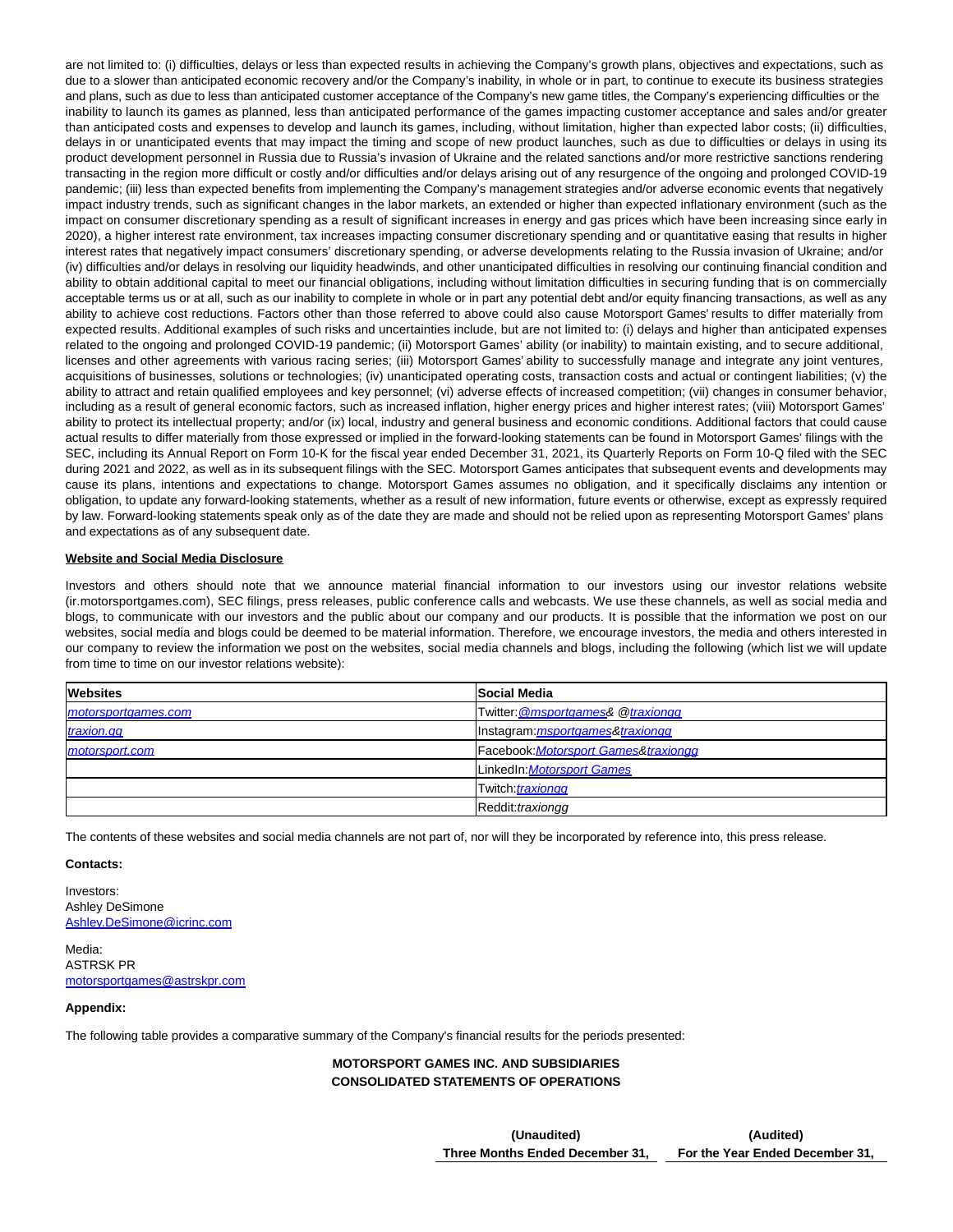are not limited to: (i) difficulties, delays or less than expected results in achieving the Company's growth plans, objectives and expectations, such as due to a slower than anticipated economic recovery and/or the Company's inability, in whole or in part, to continue to execute its business strategies and plans, such as due to less than anticipated customer acceptance of the Company's new game titles, the Company's experiencing difficulties or the inability to launch its games as planned, less than anticipated performance of the games impacting customer acceptance and sales and/or greater than anticipated costs and expenses to develop and launch its games, including, without limitation, higher than expected labor costs; (ii) difficulties, delays in or unanticipated events that may impact the timing and scope of new product launches, such as due to difficulties or delays in using its product development personnel in Russia due to Russia's invasion of Ukraine and the related sanctions and/or more restrictive sanctions rendering transacting in the region more difficult or costly and/or difficulties and/or delays arising out of any resurgence of the ongoing and prolonged COVID-19 pandemic; (iii) less than expected benefits from implementing the Company's management strategies and/or adverse economic events that negatively impact industry trends, such as significant changes in the labor markets, an extended or higher than expected inflationary environment (such as the impact on consumer discretionary spending as a result of significant increases in energy and gas prices which have been increasing since early in 2020), a higher interest rate environment, tax increases impacting consumer discretionary spending and or quantitative easing that results in higher interest rates that negatively impact consumers' discretionary spending, or adverse developments relating to the Russia invasion of Ukraine; and/or (iv) difficulties and/or delays in resolving our liquidity headwinds, and other unanticipated difficulties in resolving our continuing financial condition and ability to obtain additional capital to meet our financial obligations, including without limitation difficulties in securing funding that is on commercially acceptable terms us or at all, such as our inability to complete in whole or in part any potential debt and/or equity financing transactions, as well as any ability to achieve cost reductions. Factors other than those referred to above could also cause Motorsport Games' results to differ materially from expected results. Additional examples of such risks and uncertainties include, but are not limited to: (i) delays and higher than anticipated expenses related to the ongoing and prolonged COVID-19 pandemic; (ii) Motorsport Games' ability (or inability) to maintain existing, and to secure additional, licenses and other agreements with various racing series; (iii) Motorsport Games' ability to successfully manage and integrate any joint ventures, acquisitions of businesses, solutions or technologies; (iv) unanticipated operating costs, transaction costs and actual or contingent liabilities; (v) the ability to attract and retain qualified employees and key personnel; (vi) adverse effects of increased competition; (vii) changes in consumer behavior, including as a result of general economic factors, such as increased inflation, higher energy prices and higher interest rates; (viii) Motorsport Games' ability to protect its intellectual property; and/or (ix) local, industry and general business and economic conditions. Additional factors that could cause actual results to differ materially from those expressed or implied in the forward-looking statements can be found in Motorsport Games' filings with the SEC, including its Annual Report on Form 10-K for the fiscal year ended December 31, 2021, its Quarterly Reports on Form 10-Q filed with the SEC during 2021 and 2022, as well as in its subsequent filings with the SEC. Motorsport Games anticipates that subsequent events and developments may cause its plans, intentions and expectations to change. Motorsport Games assumes no obligation, and it specifically disclaims any intention or obligation, to update any forward-looking statements, whether as a result of new information, future events or otherwise, except as expressly required by law. Forward-looking statements speak only as of the date they are made and should not be relied upon as representing Motorsport Games' plans and expectations as of any subsequent date.

## **Website and Social Media Disclosure**

Investors and others should note that we announce material financial information to our investors using our investor relations website (ir.motorsportgames.com), SEC filings, press releases, public conference calls and webcasts. We use these channels, as well as social media and blogs, to communicate with our investors and the public about our company and our products. It is possible that the information we post on our websites, social media and blogs could be deemed to be material information. Therefore, we encourage investors, the media and others interested in our company to review the information we post on the websites, social media channels and blogs, including the following (which list we will update from time to time on our investor relations website):

| <b>Websites</b>     | <b>Social Media</b>                  |
|---------------------|--------------------------------------|
| motorsportgames.com | Twitter: @msportgames& @traxiongg    |
| traxion.gg          | Instagram: msportgames&traxiongg     |
| motorsport.com      | Facebook: Motorsport Games&traxionag |
|                     | LinkedIn: Motorsport Games           |
|                     | Twitch: traxiongg                    |
|                     | Reddit: traxiongg                    |

The contents of these websites and social media channels are not part of, nor will they be incorporated by reference into, this press release.

## **Contacts:**

Investors: Ashley DeSimone [Ashley.DeSimone@icrinc.com](https://www.globenewswire.com/Tracker?data=QQS9I1rj9-riCqmCtj4baSCyFQVuTqN75l70_0QsEJUIbXqQxm9DUC1iQzSTFU_QCM7uLbZ4oJ8qCOVU2qo-mRprxommpG0f_xvLX5cIYQjIp2CxeN3BSAFBqgBXFBoE)

Media: ASTRSK PR [motorsportgames@astrskpr.com](https://www.globenewswire.com/Tracker?data=cL_oagHgLUUI_ohZTO8z9q5UwJgTEciZG9ZRZaz6kYid2AduYY6dKzgU9TpoGwo1oRhp5x_EZfy4kjLA-TjelAYVlUqk3lqA-uhKZ65ZP2Inj-iEYxrwBi-7Lnusr_re)

## **Appendix:**

The following table provides a comparative summary of the Company's financial results for the periods presented:

# **MOTORSPORT GAMES INC. AND SUBSIDIARIES CONSOLIDATED STATEMENTS OF OPERATIONS**